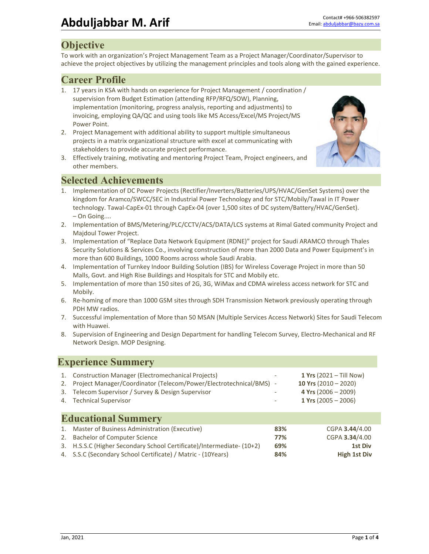### **Objective**

To work with an organization's Project Management Team as a Project Manager/Coordinator/Supervisor to achieve the project objectives by utilizing the management principles and tools along with the gained experience.

#### **Career Profile**

- 1. 17 years in KSA with hands on experience for Project Management / coordination / supervision from Budget Estimation (attending RFP/RFQ/SOW), Planning, implementation (monitoring, progress analysis, reporting and adjustments) to invoicing, employing QA/QC and using tools like MS Access/Excel/MS Project/MS Power Point.
- 2. Project Management with additional ability to support multiple simultaneous projects in a matrix organizational structure with excel at communicating with stakeholders to provide accurate project performance.
- 3. Effectively training, motivating and mentoring Project Team, Project engineers, and other members.



## **Selected Achievements**

- 1. Implementation of DC Power Projects (Rectifier/Inverters/Batteries/UPS/HVAC/GenSet Systems) over the kingdom for Aramco/SWCC/SEC in Industrial Power Technology and for STC/Mobily/Tawal in IT Power technology. Tawal‐CapEx‐01 through CapEx‐04 (over 1,500 sites of DC system/Battery/HVAC/GenSet). – On Going....
- 2. Implementation of BMS/Metering/PLC/CCTV/ACS/DATA/LCS systems at Rimal Gated community Project and Majdoul Tower Project.
- 3. Implementation of "Replace Data Network Equipment (RDNE)" project for Saudi ARAMCO through Thales Security Solutions & Services Co., involving construction of more than 2000 Data and Power Equipment's in more than 600 Buildings, 1000 Rooms across whole Saudi Arabia.
- 4. Implementation of Turnkey Indoor Building Solution (IBS) for Wireless Coverage Project in more than 50 Malls, Govt. and High Rise Buildings and Hospitals for STC and Mobily etc.
- 5. Implementation of more than 150 sites of 2G, 3G, WiMax and CDMA wireless access network for STC and Mobily.
- 6. Re-homing of more than 1000 GSM sites through SDH Transmission Network previously operating through PDH MW radios.
- 7. Successful implementation of More than 50 MSAN (Multiple Services Access Network) Sites for Saudi Telecom with Huawei.
- 8. Supervision of Engineering and Design Department for handling Telecom Survey, Electro-Mechanical and RF Network Design. MOP Designing.

#### **Experience Summery**

| 2.<br>3.<br>4. | 1. Construction Manager (Electromechanical Projects)<br>Project Manager/Coordinator (Telecom/Power/Electrotechnical/BMS) -<br>Telecom Supervisor / Survey & Design Supervisor<br><b>Technical Supervisor</b> |     | <b>1 Yrs</b> $(2021 - Till Now)$<br>10 Yrs $(2010 - 2020)$<br>4 Yrs $(2006 - 2009)$<br>1 Yrs $(2005 - 2006)$ |
|----------------|--------------------------------------------------------------------------------------------------------------------------------------------------------------------------------------------------------------|-----|--------------------------------------------------------------------------------------------------------------|
|                | <b>Educational Summery</b>                                                                                                                                                                                   |     |                                                                                                              |
| 1.             | Master of Business Administration (Executive)                                                                                                                                                                | 83% | CGPA 3.44/4.00                                                                                               |
| 2.             | <b>Bachelor of Computer Science</b>                                                                                                                                                                          | 77% | CGPA 3.34/4.00                                                                                               |
| 3.             | H.S.S.C (Higher Secondary School Certificate)/Intermediate- (10+2)                                                                                                                                           | 69% | <b>1st Div</b>                                                                                               |
|                | 4. S.S.C (Secondary School Certificate) / Matric - (10Years)                                                                                                                                                 | 84% | <b>High 1st Div</b>                                                                                          |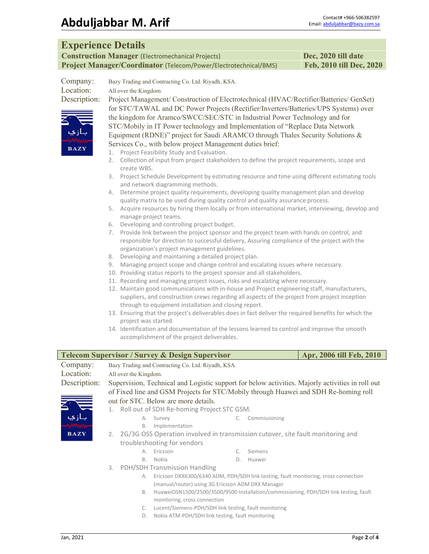#### **Experience Details**

**Construction Manager** (Electromechanical Projects) **Dec, 2020 till date Project Manager/Coordinator** (Telecom/Power/Electrotechnical/BMS) **Feb, 2010 till Dec, 2020**

| Company:     | Bazy Trading and Contracting Co. Ltd. Riyadh, KSA. |
|--------------|----------------------------------------------------|
| Location:    | All over the Kingdom.                              |
| Description: | Project Management/Construction of Electro         |



Description: Project Management/ Construction of Electrotechnical (HVAC/Rectifier/Batteries/ GenSet) for STC/TAWAL and DC Power Projects (Rectifier/Inverters/Batteries/UPS Systems) over the kingdom for Aramco/SWCC/SEC/STC in Industrial Power Technology and for STC/Mobily in IT Power technology and Implementation of "Replace Data Network Equipment (RDNE)" project for Saudi ARAMCO through Thales Security Solutions & Services Co., with below project Management duties brief:

- 1. Project Feasibility Study and Evaluation.
- 2. Collection of input from project stakeholders to define the project requirements, scope and create WBS.
- 3. Project Schedule Development by estimating resource and time using different estimating tools and network diagramming methods.
- 4. Determine project quality requirements, developing quality management plan and develop quality matrix to be used during quality control and quality assurance process.
- 5. Acquire resources by hiring them locally or from international market, interviewing, develop and manage project teams.
- 6. Developing and controlling project budget.
- 7. Provide link between the project sponsor and the project team with hands on control, and responsible for direction to successful delivery, Assuring compliance of the project with the organization's project management guidelines.
- 8. Developing and maintaining a detailed project plan.
- 9. Managing project scope and change control and escalating issues where necessary.
- 10. Providing status reports to the project sponsor and all stakeholders.
- 11. Recording and managing project issues, risks and escalating where necessary.
- 12. Maintain good communications with in‐house and Project engineering staff, manufacturers, suppliers, and construction crews regarding all aspects of the project from project inception through to equipment installation and closing report.
- 13. Ensuring that the project's deliverables does in fact deliver the required benefits for which the project was started.
- 14. Identification and documentation of the lessons learned to control and improve the smooth accomplishment of the project deliverables.

| <b>Telecom Supervisor / Survey &amp; Design Supervisor</b><br>Apr, 2006 till Feb, 2010 |                                                    |                       |                                                                                     |  |               |                                                                                                  |
|----------------------------------------------------------------------------------------|----------------------------------------------------|-----------------------|-------------------------------------------------------------------------------------|--|---------------|--------------------------------------------------------------------------------------------------|
| Company:                                                                               | Bazy Trading and Contracting Co. Ltd. Riyadh, KSA. |                       |                                                                                     |  |               |                                                                                                  |
| Location:                                                                              |                                                    | All over the Kingdom. |                                                                                     |  |               |                                                                                                  |
| Description:                                                                           |                                                    |                       |                                                                                     |  |               | Supervision, Technical and Logistic support for below activities. Majorly activities in roll out |
|                                                                                        |                                                    |                       |                                                                                     |  |               | of Fixed line and GSM Projects for STC/Mobily through Huawei and SDH Re-homing roll              |
|                                                                                        |                                                    |                       | out for STC. Below are more details.                                                |  |               |                                                                                                  |
|                                                                                        |                                                    |                       | 1. Roll out of SDH Re-homing Project STC GSM.                                       |  |               |                                                                                                  |
|                                                                                        |                                                    |                       | A. Survey                                                                           |  | Commissioning |                                                                                                  |
|                                                                                        |                                                    | B.                    | Implementation                                                                      |  |               |                                                                                                  |
| <b>BAZY</b>                                                                            |                                                    |                       | 2. 2G/3G OSS Operation involved in transmission cutover, site fault monitoring and  |  |               |                                                                                                  |
|                                                                                        |                                                    |                       | troubleshooting for vendors                                                         |  |               |                                                                                                  |
|                                                                                        |                                                    | $\mathsf{A}$ .        | Ericsson                                                                            |  | Siemens       |                                                                                                  |
|                                                                                        |                                                    | $B_{\cdot}$           | Nokia                                                                               |  | Huawei        |                                                                                                  |
|                                                                                        | 3.                                                 |                       | <b>PDH/SDH Transmission Handling</b>                                                |  |               |                                                                                                  |
|                                                                                        |                                                    | А.                    | Ericsson DXX6300/6340 ADM, PDH/SDH link testing, fault monitoring, cross connection |  |               |                                                                                                  |
|                                                                                        |                                                    |                       | (manual/router) using 3G Ericsson ADM DXX Manager                                   |  |               |                                                                                                  |
|                                                                                        |                                                    | В.                    |                                                                                     |  |               | HuaweiOSN1500/2500/3500/9500 Installation/commissioning, PDH/SDH link testing, fault             |
|                                                                                        |                                                    |                       | monitoring, cross connection                                                        |  |               |                                                                                                  |
|                                                                                        |                                                    |                       | Lucent/Siemens-PDH/SDH link testing, fault monitoring                               |  |               |                                                                                                  |

- D. Nokia ATM‐PDH/SDH link testing, fault monitoring
	-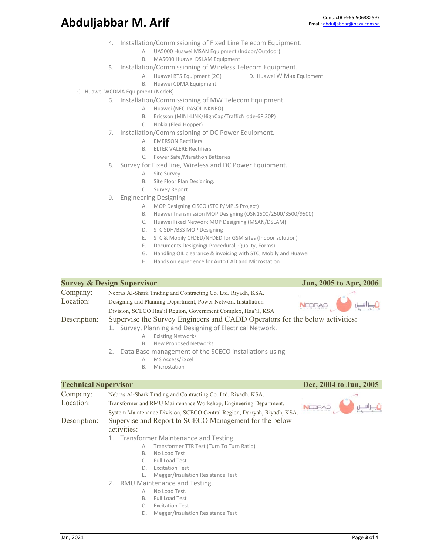- 4. Installation/Commissioning of Fixed Line Telecom Equipment.
	- A. UA5000 Huawei MSAN Equipment (Indoor/Outdoor)
	- B. MA5600 Huawei DSLAM Equipment
- 5. Installation/Commissioning of Wireless Telecom Equipment.
	- A. Huawei BTS Equipment (2G) D. Huawei WiMax Equipment.
	- B. Huawei CDMA Equipment.
- C. Huawei WCDMA Equipment (NodeB)
	- 6. Installation/Commissioning of MW Telecom Equipment.
		- A. Huawei (NEC‐PASOLINKNEO)
		- B. Ericsson (MINI‐LINK/HighCap/TrafficN ode‐6P,20P)
		- C. Nokia (Flexi Hopper)
	- 7. Installation/Commissioning of DC Power Equipment.
		- A. EMERSON Rectifiers
		- B. ELTEK VALERE Rectifiers
		- C. Power Safe/Marathon Batteries
	- 8. Survey for Fixed line, Wireless and DC Power Equipment.
		- A. Site Survey.
		- B. Site Floor Plan Designing.
		- C. Survey Report
	- 9. Engineering Designing
		- A. MOP Designing CISCO (STCIP/MPLS Project)
		- B. Huawei Transmission MOP Designing (OSN1500/2500/3500/9500)
		- C. Huawei Fixed Network MOP Designing (MSAN/DSLAM)
		- D. STC SDH/BSS MOP Designing
		- E. STC & Mobily CFDED/NFDED for GSM sites (Indoor solution)
		- F. Documents Designing( Procedural, Quality, Forms)
		- G. Handling OIL clearance & invoicing with STC, Mobily and Huawei
		- H. Hands on experience for Auto CAD and Microstation

|                                                                                                                                                                                                                                                                                                                                     | <b>Survey &amp; Design Supervisor</b>                                                                                                         | Jun, 2005 to Apr, 2006                    |  |
|-------------------------------------------------------------------------------------------------------------------------------------------------------------------------------------------------------------------------------------------------------------------------------------------------------------------------------------|-----------------------------------------------------------------------------------------------------------------------------------------------|-------------------------------------------|--|
| Company:                                                                                                                                                                                                                                                                                                                            | Nebras Al-Shark Trading and Contracting Co. Ltd. Riyadh, KSA.                                                                                 |                                           |  |
| Location:                                                                                                                                                                                                                                                                                                                           | Designing and Planning Department, Power Network Installation<br>Division, SCECO Haa'il Region, Government Complex, Haa'il, KSA               |                                           |  |
| Supervise the Survey Engineers and CADD Operators for the below activities:<br>Description:<br>1. Survey, Planning and Designing of Electrical Network.<br><b>Existing Networks</b><br>А.<br>New Proposed Networks<br>B.<br>2. Data Base management of the SCECO installations using<br>MS Access/Excel<br>А.<br>Microstation<br>B. |                                                                                                                                               |                                           |  |
| <b>Technical Supervisor</b>                                                                                                                                                                                                                                                                                                         |                                                                                                                                               | Dec, 2004 to Jun, 2005                    |  |
| Company:                                                                                                                                                                                                                                                                                                                            | Nebras Al-Shark Trading and Contracting Co. Ltd. Riyadh, KSA.                                                                                 |                                           |  |
| Location:                                                                                                                                                                                                                                                                                                                           | Transformer and RMU Maintenance Workshop, Engineering Department,<br>System Maintenance Division, SCECO Central Region, Darryah, Riyadh, KSA. |                                           |  |
| Description:                                                                                                                                                                                                                                                                                                                        | Supervise and Report to SCECO Management for the below<br>activities:                                                                         |                                           |  |
|                                                                                                                                                                                                                                                                                                                                     | 1. Transformer Maintenance and Testing.                                                                                                       |                                           |  |
|                                                                                                                                                                                                                                                                                                                                     | А.                                                                                                                                            | Transformer TTR Test (Turn To Turn Ratio) |  |
|                                                                                                                                                                                                                                                                                                                                     | No Load Test<br>В.                                                                                                                            |                                           |  |
|                                                                                                                                                                                                                                                                                                                                     | <b>Full Load Test</b><br>C.                                                                                                                   |                                           |  |
|                                                                                                                                                                                                                                                                                                                                     | <b>Excitation Test</b><br>D.                                                                                                                  |                                           |  |
|                                                                                                                                                                                                                                                                                                                                     | Megger/Insulation Resistance Test<br>Е.                                                                                                       |                                           |  |
|                                                                                                                                                                                                                                                                                                                                     | 2. RMU Maintenance and Testing.                                                                                                               |                                           |  |
|                                                                                                                                                                                                                                                                                                                                     | No Load Test.<br>$\mathsf{A}$ .<br><b>Full Load Test</b>                                                                                      |                                           |  |
|                                                                                                                                                                                                                                                                                                                                     | В.<br><b>Excitation Test</b><br>C.                                                                                                            |                                           |  |

D. Megger/Insulation Resistance Test